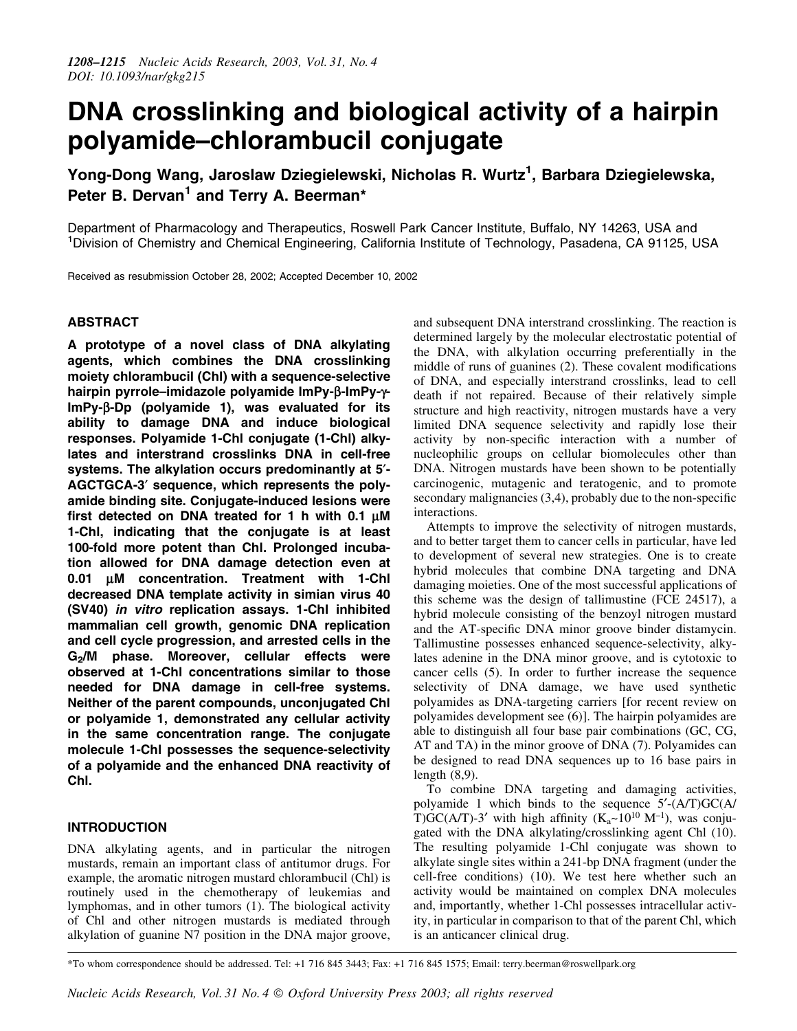# DNA crosslinking and biological activity of a hairpin polyamide-chlorambucil conjugate

Yong-Dong Wang, Jaroslaw Dziegielewski, Nicholas R. Wurtz<sup>1</sup>, Barbara Dziegielewska, Peter B. Dervan<sup>1</sup> and Terry A. Beerman\*

Department of Pharmacology and Therapeutics, Roswell Park Cancer Institute, Buffalo, NY 14263, USA and <sup>1</sup>Division of Chemistry and Chemical Engineering, California Institute of Technology, Pasadena, CA 91125, USA

Received as resubmission October 28, 2002; Accepted December 10, 2002

# ABSTRACT

A prototype of a novel class of DNA alkylating agents, which combines the DNA crosslinking moiety chlorambucil (Chl) with a sequence-selective hairpin pyrrole-imidazole polyamide ImPy- $\beta$ -ImPy- $\gamma$ - $ImPy-\beta-Dp$  (polyamide 1), was evaluated for its ability to damage DNA and induce biological responses. Polyamide 1-Chl conjugate (1-Chl) alkylates and interstrand crosslinks DNA in cell-free systems. The alkylation occurs predominantly at 5<sup>2</sup>-AGCTGCA-3¢ sequence, which represents the polyamide binding site. Conjugate-induced lesions were first detected on DNA treated for 1 h with 0.1  $\mu$ M 1-Chl, indicating that the conjugate is at least 100-fold more potent than Chl. Prolonged incubation allowed for DNA damage detection even at 0.01 µM concentration. Treatment with 1-Chl decreased DNA template activity in simian virus 40 (SV40) in vitro replication assays. 1-Chl inhibited mammalian cell growth, genomic DNA replication and cell cycle progression, and arrested cells in the  $G<sub>2</sub>/M$  phase. Moreover, cellular effects were observed at 1-Chl concentrations similar to those needed for DNA damage in cell-free systems. Neither of the parent compounds, unconjugated Chl or polyamide 1, demonstrated any cellular activity in the same concentration range. The conjugate molecule 1-Chl possesses the sequence-selectivity of a polyamide and the enhanced DNA reactivity of Chl.

# INTRODUCTION

DNA alkylating agents, and in particular the nitrogen mustards, remain an important class of antitumor drugs. For example, the aromatic nitrogen mustard chlorambucil (Chl) is routinely used in the chemotherapy of leukemias and lymphomas, and in other tumors (1). The biological activity of Chl and other nitrogen mustards is mediated through alkylation of guanine N7 position in the DNA major groove,

and subsequent DNA interstrand crosslinking. The reaction is determined largely by the molecular electrostatic potential of the DNA, with alkylation occurring preferentially in the middle of runs of guanines  $(2)$ . These covalent modifications of DNA, and especially interstrand crosslinks, lead to cell death if not repaired. Because of their relatively simple structure and high reactivity, nitrogen mustards have a very limited DNA sequence selectivity and rapidly lose their activity by non-specific interaction with a number of nucleophilic groups on cellular biomolecules other than DNA. Nitrogen mustards have been shown to be potentially carcinogenic, mutagenic and teratogenic, and to promote secondary malignancies  $(3,4)$ , probably due to the non-specific interactions.

Attempts to improve the selectivity of nitrogen mustards, and to better target them to cancer cells in particular, have led to development of several new strategies. One is to create hybrid molecules that combine DNA targeting and DNA damaging moieties. One of the most successful applications of this scheme was the design of tallimustine (FCE 24517), a hybrid molecule consisting of the benzoyl nitrogen mustard and the AT-specific DNA minor groove binder distamycin. Tallimustine possesses enhanced sequence-selectivity, alkylates adenine in the DNA minor groove, and is cytotoxic to cancer cells (5). In order to further increase the sequence selectivity of DNA damage, we have used synthetic polyamides as DNA-targeting carriers [for recent review on polyamides development see (6)]. The hairpin polyamides are able to distinguish all four base pair combinations (GC, CG, AT and TA) in the minor groove of DNA (7). Polyamides can be designed to read DNA sequences up to 16 base pairs in length (8,9).

To combine DNA targeting and damaging activities, polyamide 1 which binds to the sequence  $5'$ -(A/T)GC(A/ T)GC(A/T)-3' with high affinity  $(K_a \sim 10^{10} \text{ M}^{-1})$ , was conjugated with the DNA alkylating/crosslinking agent Chl (10). The resulting polyamide 1-Chl conjugate was shown to alkylate single sites within a 241-bp DNA fragment (under the cell-free conditions) (10). We test here whether such an activity would be maintained on complex DNA molecules and, importantly, whether 1-Chl possesses intracellular activity, in particular in comparison to that of the parent Chl, which is an anticancer clinical drug.

\*To whom correspondence should be addressed. Tel: +1 716 845 3443; Fax: +1 716 845 1575; Email: terry.beerman@roswellpark.org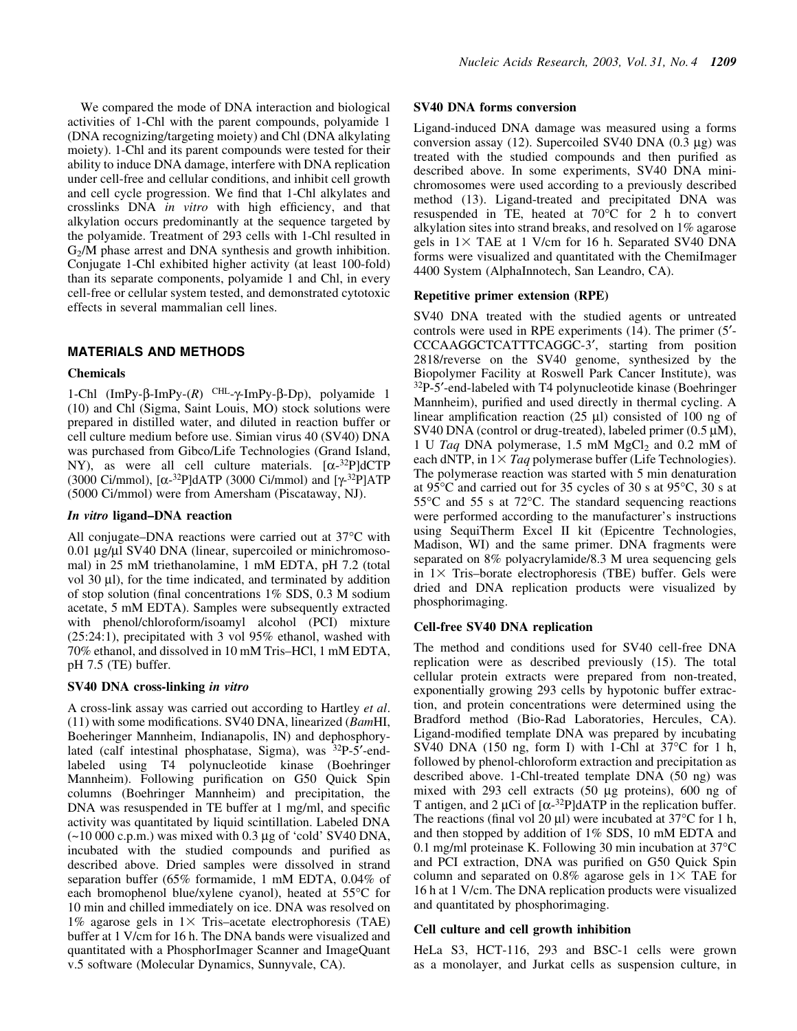We compared the mode of DNA interaction and biological activities of 1-Chl with the parent compounds, polyamide 1 (DNA recognizing/targeting moiety) and Chl (DNA alkylating moiety). 1-Chl and its parent compounds were tested for their ability to induce DNA damage, interfere with DNA replication under cell-free and cellular conditions, and inhibit cell growth and cell cycle progression. We find that 1-Chl alkylates and crosslinks DNA in vitro with high efficiency, and that alkylation occurs predominantly at the sequence targeted by the polyamide. Treatment of 293 cells with 1-Chl resulted in  $G<sub>2</sub>/M$  phase arrest and DNA synthesis and growth inhibition. Conjugate 1-Chl exhibited higher activity (at least 100-fold) than its separate components, polyamide 1 and Chl, in every cell-free or cellular system tested, and demonstrated cytotoxic effects in several mammalian cell lines.

# MATERIALS AND METHODS

# Chemicals

1-Chl  $(ImPy-\beta-ImPy-(R)$ <sup>CHL</sup>- $\gamma$ -ImPy- $\beta$ -Dp), polyamide 1 (10) and Chl (Sigma, Saint Louis, MO) stock solutions were prepared in distilled water, and diluted in reaction buffer or cell culture medium before use. Simian virus 40 (SV40) DNA was purchased from Gibco/Life Technologies (Grand Island, NY), as were all cell culture materials.  $[\alpha^{-32}P]dCTP$ (3000 Ci/mmol),  $[\alpha^{-32}P]$ dATP (3000 Ci/mmol) and  $[\gamma^{-32}P]$ ATP (5000 Ci/mmol) were from Amersham (Piscataway, NJ).

### In vitro ligand-DNA reaction

All conjugate-DNA reactions were carried out at  $37^{\circ}$ C with  $0.01 \mu g/\mu$ l SV40 DNA (linear, supercoiled or minichromosomal) in 25 mM triethanolamine, 1 mM EDTA, pH 7.2 (total vol 30  $\mu$ l), for the time indicated, and terminated by addition of stop solution (final concentrations  $1\%$  SDS, 0.3 M sodium acetate, 5 mM EDTA). Samples were subsequently extracted with phenol/chloroform/isoamyl alcohol (PCI) mixture (25:24:1), precipitated with 3 vol 95% ethanol, washed with 70% ethanol, and dissolved in 10 mM Tris-HCl, 1 mM EDTA, pH 7.5 (TE) buffer.

# SV40 DNA cross-linking in vitro

A cross-link assay was carried out according to Hartley et al.  $(11)$  with some modifications. SV40 DNA, linearized (BamHI, Boeheringer Mannheim, Indianapolis, IN) and dephosphorylated (calf intestinal phosphatase, Sigma), was  $32P-5'$ -endlabeled using T4 polynucleotide kinase (Boehringer Mannheim). Following purification on G50 Quick Spin columns (Boehringer Mannheim) and precipitation, the  $DNA$  was resuspended in TE buffer at  $1$  mg/ml, and specific activity was quantitated by liquid scintillation. Labeled DNA  $(-10\ 000\ \text{c.p.m.})$  was mixed with 0.3 µg of 'cold' SV40 DNA, incubated with the studied compounds and purified as described above. Dried samples were dissolved in strand separation buffer (65% formamide, 1 mM EDTA, 0.04% of each bromophenol blue/xylene cyanol), heated at 55°C for 10 min and chilled immediately on ice. DNA was resolved on 1% agarose gels in  $1 \times$  Tris-acetate electrophoresis (TAE) buffer at 1 V/cm for 16 h. The DNA bands were visualized and quantitated with a PhosphorImager Scanner and ImageQuant v.5 software (Molecular Dynamics, Sunnyvale, CA).

# SV40 DNA forms conversion

Ligand-induced DNA damage was measured using a forms conversion assay (12). Supercoiled SV40 DNA  $(0.3 \mu g)$  was treated with the studied compounds and then purified as described above. In some experiments, SV40 DNA minichromosomes were used according to a previously described method (13). Ligand-treated and precipitated DNA was resuspended in TE, heated at 70°C for 2 h to convert alkylation sites into strand breaks, and resolved on 1% agarose gels in  $1 \times$  TAE at 1 V/cm for 16 h. Separated SV40 DNA forms were visualized and quantitated with the ChemiImager 4400 System (AlphaInnotech, San Leandro, CA).

# Repetitive primer extension (RPE)

SV40 DNA treated with the studied agents or untreated controls were used in RPE experiments (14). The primer (5<sup>'</sup>-CCCAAGGCTCATTTCAGGC-3', starting from position 2818/reverse on the SV40 genome, synthesized by the Biopolymer Facility at Roswell Park Cancer Institute), was  $32P-5'$ -end-labeled with T4 polynucleotide kinase (Boehringer Mannheim), purified and used directly in thermal cycling. A linear amplification reaction (25  $\mu$ l) consisted of 100 ng of SV40 DNA (control or drug-treated), labeled primer  $(0.5 \mu M)$ , 1 U Taq DNA polymerase, 1.5 mM  $MgCl<sub>2</sub>$  and 0.2 mM of each dNTP, in  $1 \times Tag$  polymerase buffer (Life Technologies). The polymerase reaction was started with 5 min denaturation at 95°C and carried out for 35 cycles of 30 s at 95°C, 30 s at 55°C and 55 s at 72°C. The standard sequencing reactions were performed according to the manufacturer's instructions using SequiTherm Excel II kit (Epicentre Technologies, Madison, WI) and the same primer. DNA fragments were separated on 8% polyacrylamide/8.3 M urea sequencing gels in  $1 \times$  Tris-borate electrophoresis (TBE) buffer. Gels were dried and DNA replication products were visualized by phosphorimaging.

# Cell-free SV40 DNA replication

The method and conditions used for SV40 cell-free DNA replication were as described previously (15). The total cellular protein extracts were prepared from non-treated, exponentially growing 293 cells by hypotonic buffer extraction, and protein concentrations were determined using the Bradford method (Bio-Rad Laboratories, Hercules, CA). Ligand-modified template DNA was prepared by incubating SV40 DNA (150 ng, form I) with 1-Chl at 37°C for 1 h, followed by phenol-chloroform extraction and precipitation as described above. 1-Chl-treated template DNA (50 ng) was mixed with 293 cell extracts (50 µg proteins), 600 ng of T antigen, and 2  $\mu$ Ci of  $\left[\alpha^{-32}P\right]$ dATP in the replication buffer. The reactions (final vol 20  $\mu$ I) were incubated at 37°C for 1 h, and then stopped by addition of 1% SDS, 10 mM EDTA and 0.1 mg/ml proteinase K. Following 30 min incubation at 37°C and PCI extraction, DNA was purified on G50 Quick Spin column and separated on 0.8% agarose gels in  $1\times$  TAE for 16 h at 1 V/cm. The DNA replication products were visualized and quantitated by phosphorimaging.

# Cell culture and cell growth inhibition

HeLa S3, HCT-116, 293 and BSC-1 cells were grown as a monolayer, and Jurkat cells as suspension culture, in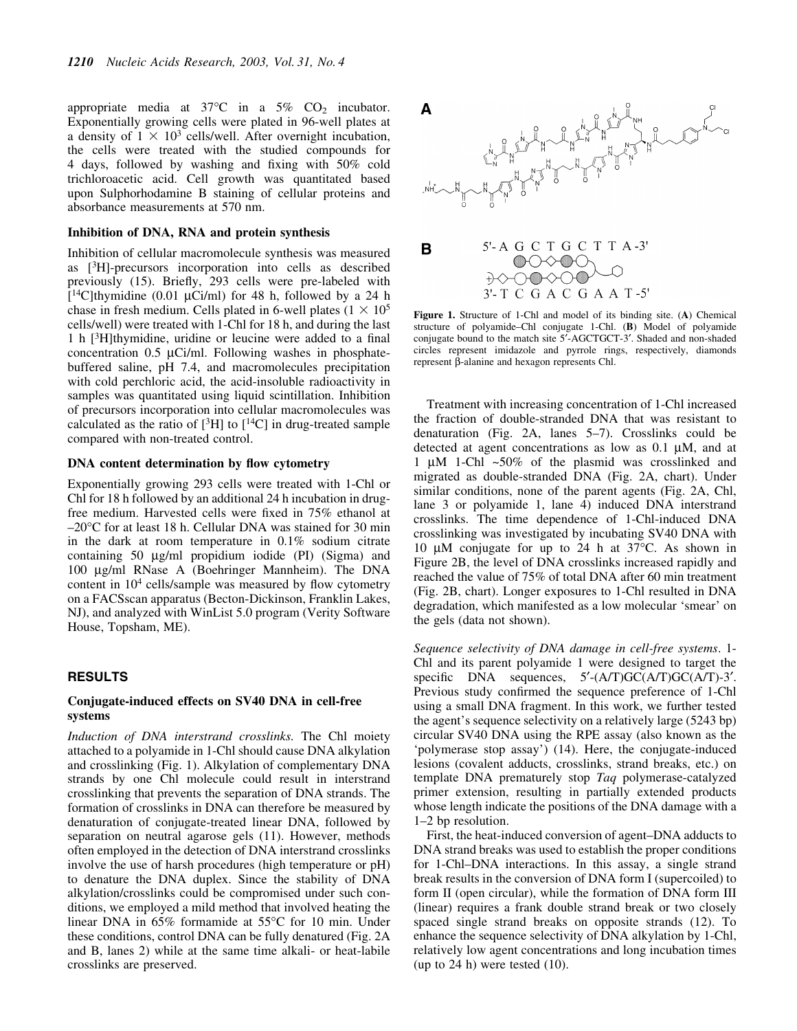appropriate media at  $37^{\circ}$ C in a  $5\%$  CO<sub>2</sub> incubator. Exponentially growing cells were plated in 96-well plates at a density of  $1 \times 10^3$  cells/well. After overnight incubation, the cells were treated with the studied compounds for 4 days, followed by washing and fixing with 50% cold trichloroacetic acid. Cell growth was quantitated based upon Sulphorhodamine B staining of cellular proteins and absorbance measurements at 570 nm.

#### Inhibition of DNA, RNA and protein synthesis

Inhibition of cellular macromolecule synthesis was measured as [3H]-precursors incorporation into cells as described previously (15). Briefly, 293 cells were pre-labeled with  $[14C]$ thymidine (0.01 µCi/ml) for 48 h, followed by a 24 h chase in fresh medium. Cells plated in 6-well plates  $(1 \times 10^5)$ cells/well) were treated with 1-Chl for 18 h, and during the last 1 h  $[3H]$ thymidine, uridine or leucine were added to a final concentration  $0.5 \mu$ Ci/ml. Following washes in phosphatebuffered saline, pH 7.4, and macromolecules precipitation with cold perchloric acid, the acid-insoluble radioactivity in samples was quantitated using liquid scintillation. Inhibition of precursors incorporation into cellular macromolecules was calculated as the ratio of  $[{}^{3}H]$  to  $[{}^{14}C]$  in drug-treated sample compared with non-treated control.

#### DNA content determination by flow cytometry

Exponentially growing 293 cells were treated with 1-Chl or Chl for 18 h followed by an additional 24 h incubation in drugfree medium. Harvested cells were fixed in 75% ethanol at  $-20$ °C for at least 18 h. Cellular DNA was stained for 30 min in the dark at room temperature in 0.1% sodium citrate containing 50 mg/ml propidium iodide (PI) (Sigma) and 100 mg/ml RNase A (Boehringer Mannheim). The DNA content in  $10<sup>4</sup>$  cells/sample was measured by flow cytometry on a FACSscan apparatus (Becton-Dickinson, Franklin Lakes, NJ), and analyzed with WinList 5.0 program (Verity Software House, Topsham, ME).

### RESULTS

# Conjugate-induced effects on SV40 DNA in cell-free systems

Induction of DNA interstrand crosslinks. The Chl moiety attached to a polyamide in 1-Chl should cause DNA alkylation and crosslinking (Fig. 1). Alkylation of complementary DNA strands by one Chl molecule could result in interstrand crosslinking that prevents the separation of DNA strands. The formation of crosslinks in DNA can therefore be measured by denaturation of conjugate-treated linear DNA, followed by separation on neutral agarose gels (11). However, methods often employed in the detection of DNA interstrand crosslinks involve the use of harsh procedures (high temperature or pH) to denature the DNA duplex. Since the stability of DNA alkylation/crosslinks could be compromised under such conditions, we employed a mild method that involved heating the linear DNA in 65% formamide at 55°C for 10 min. Under these conditions, control DNA can be fully denatured (Fig. 2A and B, lanes 2) while at the same time alkali- or heat-labile crosslinks are preserved.



Figure 1. Structure of 1-Chl and model of its binding site. (A) Chemical structure of polyamide $-$ Chl conjugate 1 $-$ Chl. (B) Model of polyamide conjugate bound to the match site 5<sup>'-</sup>AGCTGCT-3'. Shaded and non-shaded circles represent imidazole and pyrrole rings, respectively, diamonds represent b-alanine and hexagon represents Chl.

Treatment with increasing concentration of 1-Chl increased the fraction of double-stranded DNA that was resistant to denaturation (Fig.  $2A$ , lanes  $5-7$ ). Crosslinks could be detected at agent concentrations as low as  $0.1 \mu M$ , and at 1  $\mu$ M 1-Chl ~50% of the plasmid was crosslinked and migrated as double-stranded DNA (Fig. 2A, chart). Under similar conditions, none of the parent agents (Fig. 2A, Chl, lane 3 or polyamide 1, lane 4) induced DNA interstrand crosslinks. The time dependence of 1-Chl-induced DNA crosslinking was investigated by incubating SV40 DNA with 10 µM conjugate for up to 24 h at 37°C. As shown in Figure 2B, the level of DNA crosslinks increased rapidly and reached the value of 75% of total DNA after 60 min treatment (Fig. 2B, chart). Longer exposures to 1-Chl resulted in DNA degradation, which manifested as a low molecular `smear' on the gels (data not shown).

Sequence selectivity of DNA damage in cell-free systems. 1- Chl and its parent polyamide 1 were designed to target the specific DNA sequences,  $5'(A/T)GC(A/T)GC(A/T)$ -3'. Previous study confirmed the sequence preference of 1-Chl using a small DNA fragment. In this work, we further tested the agent's sequence selectivity on a relatively large (5243 bp) circular SV40 DNA using the RPE assay (also known as the `polymerase stop assay') (14). Here, the conjugate-induced lesions (covalent adducts, crosslinks, strand breaks, etc.) on template DNA prematurely stop Taq polymerase-catalyzed primer extension, resulting in partially extended products whose length indicate the positions of the DNA damage with a 1–2 bp resolution.

First, the heat-induced conversion of agent-DNA adducts to DNA strand breaks was used to establish the proper conditions for 1-Chl–DNA interactions. In this assay, a single strand break results in the conversion of DNA form I (supercoiled) to form II (open circular), while the formation of DNA form III (linear) requires a frank double strand break or two closely spaced single strand breaks on opposite strands (12). To enhance the sequence selectivity of DNA alkylation by 1-Chl, relatively low agent concentrations and long incubation times (up to  $24$  h) were tested  $(10)$ .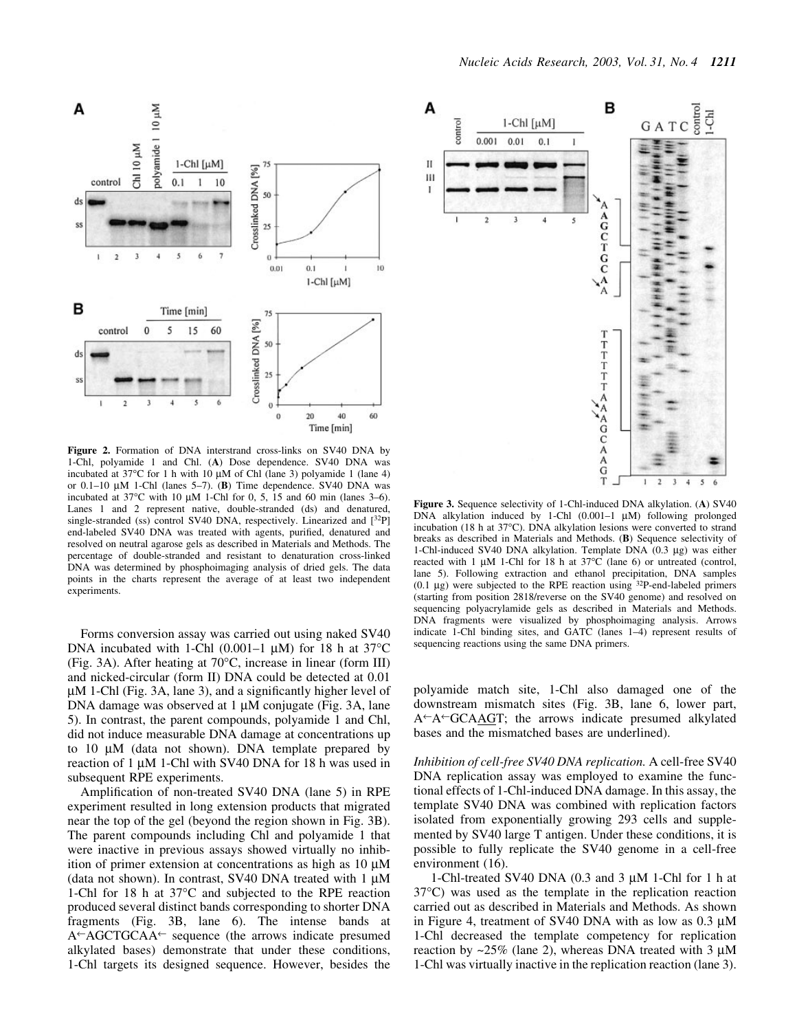

Figure 2. Formation of DNA interstrand cross-links on SV40 DNA by 1-Chl, polyamide 1 and Chl. (A) Dose dependence. SV40 DNA was incubated at  $37^{\circ}$ C for 1 h with 10  $\mu$ M of Chl (lane 3) polyamide 1 (lane 4) or  $0.1-10 \mu M$  1-Chl (lanes 5-7). (B) Time dependence. SV40 DNA was incubated at  $37^{\circ}$ C with 10 µM 1-Chl for 0, 5, 15 and 60 min (lanes 3–6). Lanes 1 and 2 represent native, double-stranded (ds) and denatured, single-stranded (ss) control SV40 DNA, respectively. Linearized and  $[^{32}P]$ end-labeled SV40 DNA was treated with agents, purified, denatured and resolved on neutral agarose gels as described in Materials and Methods. The percentage of double-stranded and resistant to denaturation cross-linked DNA was determined by phosphoimaging analysis of dried gels. The data points in the charts represent the average of at least two independent experiments.

Forms conversion assay was carried out using naked SV40 DNA incubated with 1-Chl  $(0.001-1 \mu M)$  for 18 h at 37<sup>o</sup>C (Fig. 3A). After heating at 70°C, increase in linear (form III) and nicked-circular (form II) DNA could be detected at 0.01  $\mu$ M 1-Chl (Fig. 3A, lane 3), and a significantly higher level of DNA damage was observed at  $1 \mu$ M conjugate (Fig. 3A, lane 5). In contrast, the parent compounds, polyamide 1 and Chl, did not induce measurable DNA damage at concentrations up to 10  $\mu$ M (data not shown). DNA template prepared by reaction of 1  $\mu$ M 1-Chl with SV40 DNA for 18 h was used in subsequent RPE experiments.

Amplification of non-treated SV40 DNA (lane 5) in RPE experiment resulted in long extension products that migrated near the top of the gel (beyond the region shown in Fig. 3B). The parent compounds including Chl and polyamide 1 that were inactive in previous assays showed virtually no inhibition of primer extension at concentrations as high as  $10 \mu$ M (data not shown). In contrast, SV40 DNA treated with  $1 \mu$ M 1-Chl for 18 h at 37°C and subjected to the RPE reaction produced several distinct bands corresponding to shorter DNA fragments (Fig. 3B, lane 6). The intense bands at  $A \rightarrow AGCTGCAA \leftarrow$  sequence (the arrows indicate presumed alkylated bases) demonstrate that under these conditions, 1-Chl targets its designed sequence. However, besides the



Figure 3. Sequence selectivity of 1-Chl-induced DNA alkylation. (A) SV40 DNA alkylation induced by 1-Chl  $(0.001-1 \mu M)$  following prolonged incubation (18 h at 37°C). DNA alkylation lesions were converted to strand breaks as described in Materials and Methods. (B) Sequence selectivity of 1-Chl-induced SV40 DNA alkylation. Template DNA  $(0.3 \mu$ g) was either reacted with 1  $\mu$ M 1-Chl for 18 h at 37°C (lane 6) or untreated (control, lane 5). Following extraction and ethanol precipitation, DNA samples  $(0.1 \mu g)$  were subjected to the RPE reaction using  $32P$ -end-labeled primers (starting from position 2818/reverse on the SV40 genome) and resolved on sequencing polyacrylamide gels as described in Materials and Methods. DNA fragments were visualized by phosphoimaging analysis. Arrows indicate 1-Chl binding sites, and GATC (lanes 1-4) represent results of sequencing reactions using the same DNA primers.

polyamide match site, 1-Chl also damaged one of the downstream mismatch sites (Fig. 3B, lane 6, lower part,  $A^{\leftarrow}A^{\leftarrow}GCAAGT$ ; the arrows indicate presumed alkylated bases and the mismatched bases are underlined).

Inhibition of cell-free SV40 DNA replication. A cell-free SV40 DNA replication assay was employed to examine the functional effects of 1-Chl-induced DNA damage. In this assay, the template SV40 DNA was combined with replication factors isolated from exponentially growing 293 cells and supplemented by SV40 large T antigen. Under these conditions, it is possible to fully replicate the SV40 genome in a cell-free environment (16).

1-Chl-treated SV40 DNA (0.3 and 3  $\mu$ M 1-Chl for 1 h at 37°C) was used as the template in the replication reaction carried out as described in Materials and Methods. As shown in Figure 4, treatment of SV40 DNA with as low as  $0.3 \mu M$ 1-Chl decreased the template competency for replication reaction by  $\sim$ 25% (lane 2), whereas DNA treated with 3  $\mu$ M 1-Chl was virtually inactive in the replication reaction (lane 3).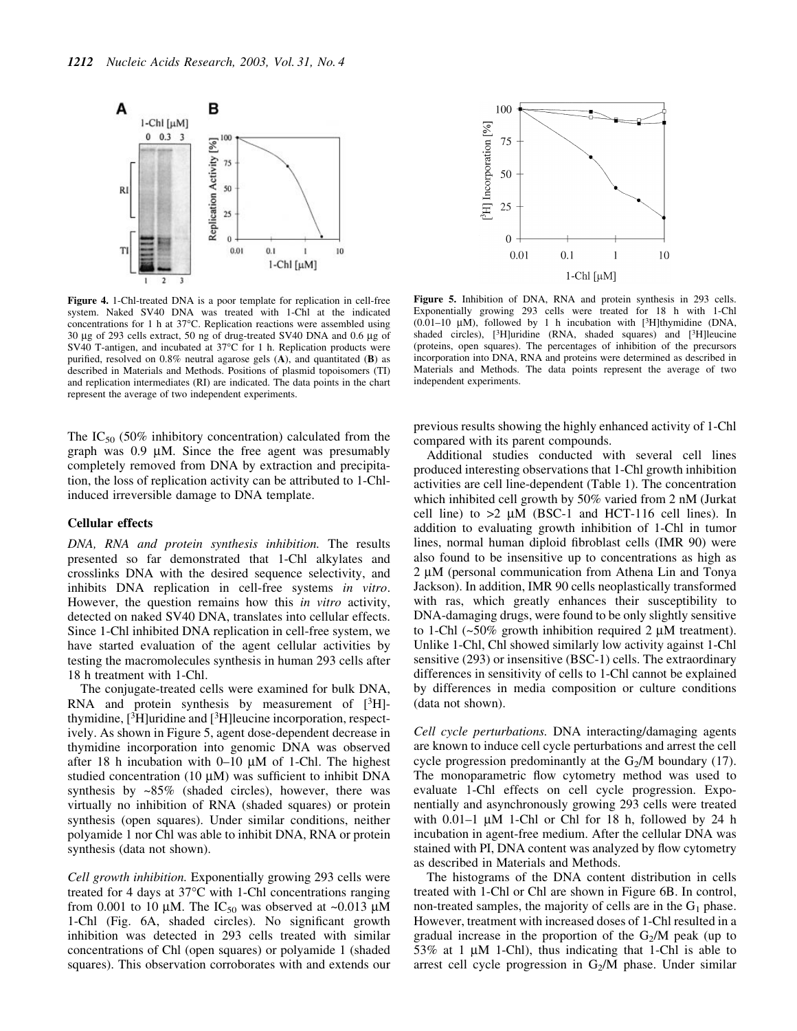

Figure 4. 1-Chl-treated DNA is a poor template for replication in cell-free system. Naked SV40 DNA was treated with 1-Chl at the indicated concentrations for 1 h at 37°C. Replication reactions were assembled using  $30 \mu$ g of 293 cells extract, 50 ng of drug-treated SV40 DNA and 0.6  $\mu$ g of SV40 T-antigen, and incubated at 37°C for 1 h. Replication products were purified, resolved on  $0.8\%$  neutral agarose gels (A), and quantitated (B) as described in Materials and Methods. Positions of plasmid topoisomers (TI) and replication intermediates (RI) are indicated. The data points in the chart represent the average of two independent experiments.

The  $IC_{50}$  (50% inhibitory concentration) calculated from the graph was  $0.9 \mu M$ . Since the free agent was presumably completely removed from DNA by extraction and precipitation, the loss of replication activity can be attributed to 1-Chlinduced irreversible damage to DNA template.

#### Cellular effects

DNA, RNA and protein synthesis inhibition. The results presented so far demonstrated that 1-Chl alkylates and crosslinks DNA with the desired sequence selectivity, and inhibits DNA replication in cell-free systems in vitro. However, the question remains how this in vitro activity, detected on naked SV40 DNA, translates into cellular effects. Since 1-Chl inhibited DNA replication in cell-free system, we have started evaluation of the agent cellular activities by testing the macromolecules synthesis in human 293 cells after 18 h treatment with 1-Chl.

The conjugate-treated cells were examined for bulk DNA, RNA and protein synthesis by measurement of  $[3H]$ thymidine,  $[3H]$ uridine and  $[3H]$ leucine incorporation, respectively. As shown in Figure 5, agent dose-dependent decrease in thymidine incorporation into genomic DNA was observed after 18 h incubation with  $0-10 \mu M$  of 1-Chl. The highest studied concentration (10  $\mu$ M) was sufficient to inhibit DNA synthesis by  $\sim 85\%$  (shaded circles), however, there was virtually no inhibition of RNA (shaded squares) or protein synthesis (open squares). Under similar conditions, neither polyamide 1 nor Chl was able to inhibit DNA, RNA or protein synthesis (data not shown).

Cell growth inhibition. Exponentially growing 293 cells were treated for 4 days at 37°C with 1-Chl concentrations ranging from 0.001 to 10  $\mu$ M. The IC<sub>50</sub> was observed at ~0.013  $\mu$ M 1-Chl (Fig. 6A, shaded circles). No significant growth inhibition was detected in 293 cells treated with similar concentrations of Chl (open squares) or polyamide 1 (shaded squares). This observation corroborates with and extends our



Figure 5. Inhibition of DNA, RNA and protein synthesis in 293 cells. Exponentially growing 293 cells were treated for 18 h with 1-Chl (0.01-10  $\mu$ M), followed by 1 h incubation with [3H]thymidine (DNA, shaded circles), [<sup>3</sup>H]uridine (RNA, shaded squares) and [<sup>3</sup>H]leucine (proteins, open squares). The percentages of inhibition of the precursors incorporation into DNA, RNA and proteins were determined as described in Materials and Methods. The data points represent the average of two independent experiments.

previous results showing the highly enhanced activity of 1-Chl compared with its parent compounds.

Additional studies conducted with several cell lines produced interesting observations that 1-Chl growth inhibition activities are cell line-dependent (Table 1). The concentration which inhibited cell growth by 50% varied from 2 nM (Jurkat cell line) to  $>2 \mu M$  (BSC-1 and HCT-116 cell lines). In addition to evaluating growth inhibition of 1-Chl in tumor lines, normal human diploid fibroblast cells (IMR 90) were also found to be insensitive up to concentrations as high as  $2 \mu M$  (personal communication from Athena Lin and Tonya Jackson). In addition, IMR 90 cells neoplastically transformed with ras, which greatly enhances their susceptibility to DNA-damaging drugs, were found to be only slightly sensitive to 1-Chl  $(-50\%$  growth inhibition required 2  $\mu$ M treatment). Unlike 1-Chl, Chl showed similarly low activity against 1-Chl sensitive (293) or insensitive (BSC-1) cells. The extraordinary differences in sensitivity of cells to 1-Chl cannot be explained by differences in media composition or culture conditions (data not shown).

Cell cycle perturbations. DNA interacting/damaging agents are known to induce cell cycle perturbations and arrest the cell cycle progression predominantly at the  $G_2/M$  boundary (17). The monoparametric flow cytometry method was used to evaluate 1-Chl effects on cell cycle progression. Exponentially and asynchronously growing 293 cells were treated with  $0.01-1 \mu M$  1-Chl or Chl for 18 h, followed by 24 h incubation in agent-free medium. After the cellular DNA was stained with PI, DNA content was analyzed by flow cytometry as described in Materials and Methods.

The histograms of the DNA content distribution in cells treated with 1-Chl or Chl are shown in Figure 6B. In control, non-treated samples, the majority of cells are in the  $G_1$  phase. However, treatment with increased doses of 1-Chl resulted in a gradual increase in the proportion of the  $G_2/M$  peak (up to 53% at 1  $\mu$ M 1-Chl), thus indicating that 1-Chl is able to arrest cell cycle progression in  $G_2/M$  phase. Under similar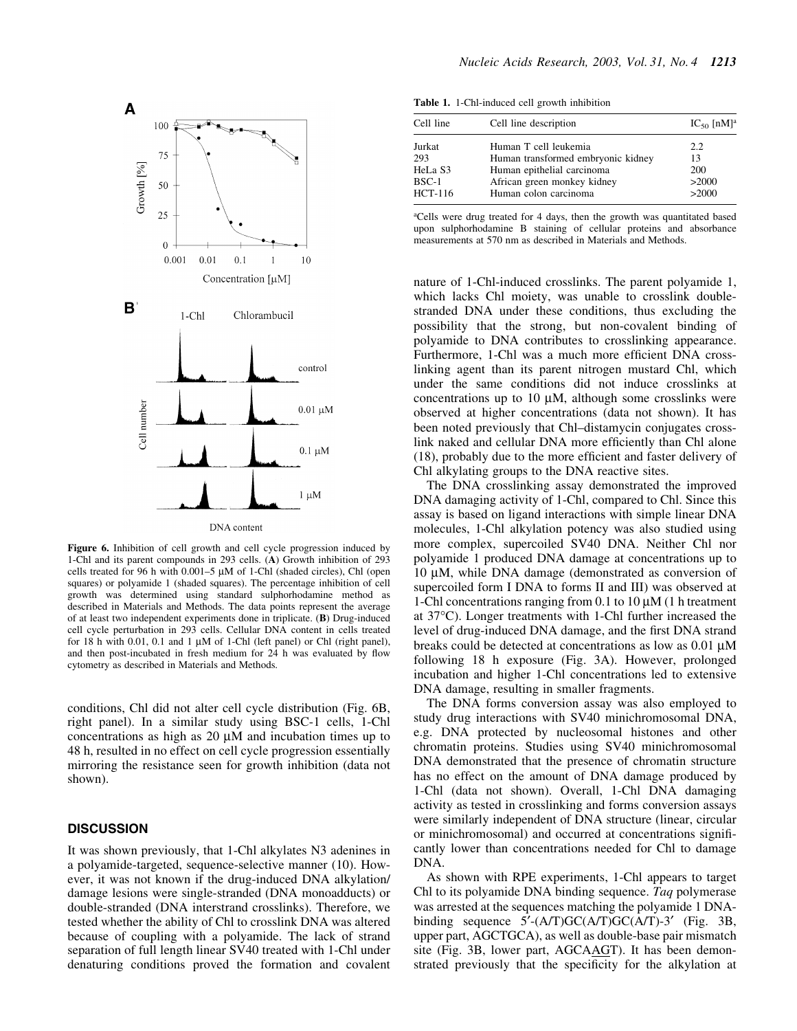

Figure 6. Inhibition of cell growth and cell cycle progression induced by 1-Chl and its parent compounds in 293 cells. (A) Growth inhibition of 293 cells treated for 96 h with  $0.001-5 \mu M$  of 1-Chl (shaded circles), Chl (open squares) or polyamide 1 (shaded squares). The percentage inhibition of cell growth was determined using standard sulphorhodamine method as described in Materials and Methods. The data points represent the average of at least two independent experiments done in triplicate. (B) Drug-induced cell cycle perturbation in 293 cells. Cellular DNA content in cells treated for 18 h with 0.01, 0.1 and 1  $\mu$ M of 1-Chl (left panel) or Chl (right panel), and then post-incubated in fresh medium for  $24$  h was evaluated by flow cytometry as described in Materials and Methods.

conditions, Chl did not alter cell cycle distribution (Fig. 6B, right panel). In a similar study using BSC-1 cells, 1-Chl concentrations as high as  $20 \mu M$  and incubation times up to 48 h, resulted in no effect on cell cycle progression essentially mirroring the resistance seen for growth inhibition (data not shown).

# **DISCUSSION**

It was shown previously, that 1-Chl alkylates N3 adenines in a polyamide-targeted, sequence-selective manner (10). However, it was not known if the drug-induced DNA alkylation/ damage lesions were single-stranded (DNA monoadducts) or double-stranded (DNA interstrand crosslinks). Therefore, we tested whether the ability of Chl to crosslink DNA was altered because of coupling with a polyamide. The lack of strand separation of full length linear SV40 treated with 1-Chl under denaturing conditions proved the formation and covalent

Table 1. 1-Chl-induced cell growth inhibition

| Cell line | Cell line description              | $IC_{50}$ [nM] <sup>a</sup> |
|-----------|------------------------------------|-----------------------------|
| Jurkat    | Human T cell leukemia              | 2.2                         |
| 293       | Human transformed embryonic kidney | 13                          |
| HeLa S3   | Human epithelial carcinoma         | 200                         |
| $BSC-1$   | African green monkey kidney        | >2000                       |
| HCT-116   | Human colon carcinoma              | >2000                       |

aCells were drug treated for 4 days, then the growth was quantitated based upon sulphorhodamine B staining of cellular proteins and absorbance measurements at 570 nm as described in Materials and Methods.

nature of 1-Chl-induced crosslinks. The parent polyamide 1, which lacks Chl moiety, was unable to crosslink doublestranded DNA under these conditions, thus excluding the possibility that the strong, but non-covalent binding of polyamide to DNA contributes to crosslinking appearance. Furthermore, 1-Chl was a much more efficient DNA crosslinking agent than its parent nitrogen mustard Chl, which under the same conditions did not induce crosslinks at concentrations up to 10  $\mu$ M, although some crosslinks were observed at higher concentrations (data not shown). It has been noted previously that Chl-distamycin conjugates crosslink naked and cellular DNA more efficiently than Chl alone  $(18)$ , probably due to the more efficient and faster delivery of Chl alkylating groups to the DNA reactive sites.

The DNA crosslinking assay demonstrated the improved DNA damaging activity of 1-Chl, compared to Chl. Since this assay is based on ligand interactions with simple linear DNA molecules, 1-Chl alkylation potency was also studied using more complex, supercoiled SV40 DNA. Neither Chl nor polyamide 1 produced DNA damage at concentrations up to 10 μM, while DNA damage (demonstrated as conversion of supercoiled form I DNA to forms II and III) was observed at 1-Chl concentrations ranging from 0.1 to 10  $\mu$ M (1 h treatment at 37°C). Longer treatments with 1-Chl further increased the level of drug-induced DNA damage, and the first DNA strand breaks could be detected at concentrations as low as  $0.01 \mu M$ following 18 h exposure (Fig. 3A). However, prolonged incubation and higher 1-Chl concentrations led to extensive DNA damage, resulting in smaller fragments.

The DNA forms conversion assay was also employed to study drug interactions with SV40 minichromosomal DNA, e.g. DNA protected by nucleosomal histones and other chromatin proteins. Studies using SV40 minichromosomal DNA demonstrated that the presence of chromatin structure has no effect on the amount of DNA damage produced by 1-Chl (data not shown). Overall, 1-Chl DNA damaging activity as tested in crosslinking and forms conversion assays were similarly independent of DNA structure (linear, circular or minichromosomal) and occurred at concentrations significantly lower than concentrations needed for Chl to damage DNA.

As shown with RPE experiments, 1-Chl appears to target Chl to its polyamide DNA binding sequence. Taq polymerase was arrested at the sequences matching the polyamide 1 DNAbinding sequence  $5'$ -(A/T)GC(A/T)GC(A/T)-3' (Fig. 3B, upper part, AGCTGCA), as well as double-base pair mismatch site (Fig. 3B, lower part, AGCAAGT). It has been demonstrated previously that the specificity for the alkylation at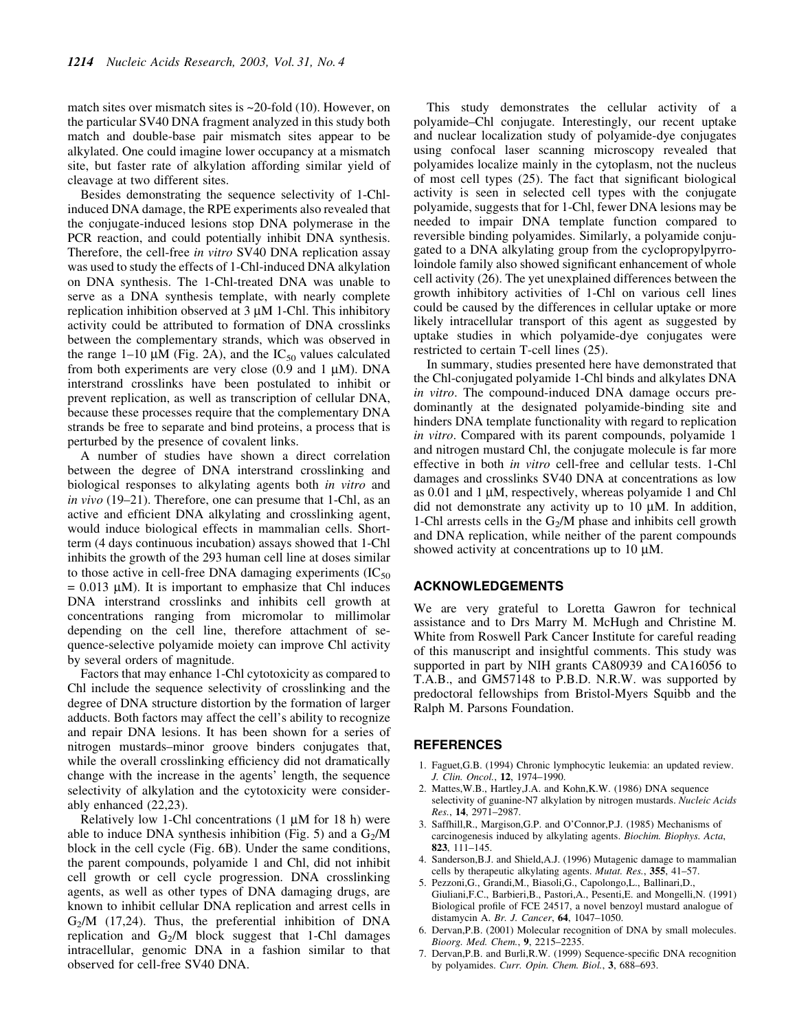match sites over mismatch sites is ~20-fold (10). However, on the particular SV40 DNA fragment analyzed in this study both match and double-base pair mismatch sites appear to be alkylated. One could imagine lower occupancy at a mismatch site, but faster rate of alkylation affording similar yield of cleavage at two different sites.

Besides demonstrating the sequence selectivity of 1-Chlinduced DNA damage, the RPE experiments also revealed that the conjugate-induced lesions stop DNA polymerase in the PCR reaction, and could potentially inhibit DNA synthesis. Therefore, the cell-free in vitro SV40 DNA replication assay was used to study the effects of 1-Chl-induced DNA alkylation on DNA synthesis. The 1-Chl-treated DNA was unable to serve as a DNA synthesis template, with nearly complete replication inhibition observed at  $3 \mu M$  1-Chl. This inhibitory activity could be attributed to formation of DNA crosslinks between the complementary strands, which was observed in the range 1–10  $\mu$ M (Fig. 2A), and the IC<sub>50</sub> values calculated from both experiments are very close  $(0.9 \text{ and } 1 \text{ }\mu\text{M})$ . DNA interstrand crosslinks have been postulated to inhibit or prevent replication, as well as transcription of cellular DNA, because these processes require that the complementary DNA strands be free to separate and bind proteins, a process that is perturbed by the presence of covalent links.

A number of studies have shown a direct correlation between the degree of DNA interstrand crosslinking and biological responses to alkylating agents both in vitro and in vivo  $(19-21)$ . Therefore, one can presume that 1-Chl, as an active and efficient DNA alkylating and crosslinking agent, would induce biological effects in mammalian cells. Shortterm (4 days continuous incubation) assays showed that 1-Chl inhibits the growth of the 293 human cell line at doses similar to those active in cell-free DNA damaging experiments  $(IC_{50}$  $= 0.013$   $\mu$ M). It is important to emphasize that Chl induces DNA interstrand crosslinks and inhibits cell growth at concentrations ranging from micromolar to millimolar depending on the cell line, therefore attachment of sequence-selective polyamide moiety can improve Chl activity by several orders of magnitude.

Factors that may enhance 1-Chl cytotoxicity as compared to Chl include the sequence selectivity of crosslinking and the degree of DNA structure distortion by the formation of larger adducts. Both factors may affect the cell's ability to recognize and repair DNA lesions. It has been shown for a series of nitrogen mustards-minor groove binders conjugates that, while the overall crosslinking efficiency did not dramatically change with the increase in the agents' length, the sequence selectivity of alkylation and the cytotoxicity were considerably enhanced (22,23).

Relatively low 1-Chl concentrations  $(1 \mu M)$  for 18 h) were able to induce DNA synthesis inhibition (Fig. 5) and a  $G<sub>2</sub>/M$ block in the cell cycle (Fig. 6B). Under the same conditions, the parent compounds, polyamide 1 and Chl, did not inhibit cell growth or cell cycle progression. DNA crosslinking agents, as well as other types of DNA damaging drugs, are known to inhibit cellular DNA replication and arrest cells in  $G_2/M$  (17,24). Thus, the preferential inhibition of DNA replication and  $G_2/M$  block suggest that 1-Chl damages intracellular, genomic DNA in a fashion similar to that observed for cell-free SV40 DNA.

This study demonstrates the cellular activity of a polyamide-Chl conjugate. Interestingly, our recent uptake and nuclear localization study of polyamide-dye conjugates using confocal laser scanning microscopy revealed that polyamides localize mainly in the cytoplasm, not the nucleus of most cell types  $(25)$ . The fact that significant biological activity is seen in selected cell types with the conjugate polyamide, suggests that for 1-Chl, fewer DNA lesions may be needed to impair DNA template function compared to reversible binding polyamides. Similarly, a polyamide conjugated to a DNA alkylating group from the cyclopropylpyrroloindole family also showed significant enhancement of whole cell activity (26). The yet unexplained differences between the growth inhibitory activities of 1-Chl on various cell lines could be caused by the differences in cellular uptake or more likely intracellular transport of this agent as suggested by uptake studies in which polyamide-dye conjugates were restricted to certain T-cell lines (25).

In summary, studies presented here have demonstrated that the Chl-conjugated polyamide 1-Chl binds and alkylates DNA in vitro. The compound-induced DNA damage occurs predominantly at the designated polyamide-binding site and hinders DNA template functionality with regard to replication in vitro. Compared with its parent compounds, polyamide 1 and nitrogen mustard Chl, the conjugate molecule is far more effective in both in vitro cell-free and cellular tests. 1-Chl damages and crosslinks SV40 DNA at concentrations as low as  $0.01$  and  $1 \mu$ M, respectively, whereas polyamide 1 and Chl did not demonstrate any activity up to 10  $\mu$ M. In addition, 1-Chl arrests cells in the  $G_2/M$  phase and inhibits cell growth and DNA replication, while neither of the parent compounds showed activity at concentrations up to  $10 \mu M$ .

#### ACKNOWLEDGEMENTS

We are very grateful to Loretta Gawron for technical assistance and to Drs Marry M. McHugh and Christine M. White from Roswell Park Cancer Institute for careful reading of this manuscript and insightful comments. This study was supported in part by NIH grants CA80939 and CA16056 to T.A.B., and GM57148 to P.B.D. N.R.W. was supported by predoctoral fellowships from Bristol-Myers Squibb and the Ralph M. Parsons Foundation.

# REFERENCES

- 1. Faguet,G.B. (1994) Chronic lymphocytic leukemia: an updated review. J. Clin. Oncol., 12, 1974-1990.
- 2. Mattes,W.B., Hartley,J.A. and Kohn,K.W. (1986) DNA sequence selectivity of guanine-N7 alkylation by nitrogen mustards. Nucleic Acids Res., 14, 2971-2987.
- Saffhill,R., Margison,G.P. and O'Connor,P.J. (1985) Mechanisms of carcinogenesis induced by alkylating agents. Biochim. Biophys. Acta, **823**, 111–145.
- 4. Sanderson,B.J. and Shield,A.J. (1996) Mutagenic damage to mammalian cells by therapeutic alkylating agents. Mutat. Res., 355, 41-57.
- 5. Pezzoni,G., Grandi,M., Biasoli,G., Capolongo,L., Ballinari,D., Giuliani,F.C., Barbieri,B., Pastori,A., Pesenti,E. and Mongelli,N. (1991) Biological profile of FCE 24517, a novel benzoyl mustard analogue of distamycin A. Br. J. Cancer, 64, 1047-1050.
- 6. Dervan,P.B. (2001) Molecular recognition of DNA by small molecules. Bioorg. Med. Chem., 9, 2215-2235.
- 7. Dervan, P.B. and Burli, R.W. (1999) Sequence-specific DNA recognition by polyamides. Curr. Opin. Chem. Biol., 3, 688-693.